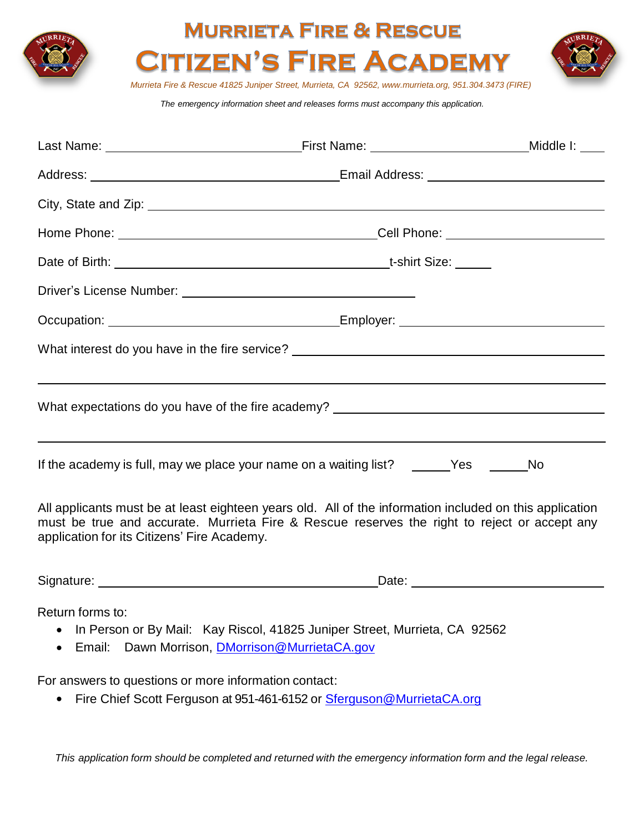| <b>MURRIETA FIRE &amp; RESCUE</b>                                                                                                       |           |  |  |
|-----------------------------------------------------------------------------------------------------------------------------------------|-----------|--|--|
| <b>CITIZEN'S FIRE ACADEMY</b><br>Murrieta Fire & Rescue 41825 Juniper Street, Murrieta, CA 92562, www.murrieta.org, 951.304.3473 (FIRE) |           |  |  |
| The emergency information sheet and releases forms must accompany this application.                                                     |           |  |  |
|                                                                                                                                         |           |  |  |
|                                                                                                                                         |           |  |  |
|                                                                                                                                         |           |  |  |
|                                                                                                                                         |           |  |  |
|                                                                                                                                         |           |  |  |
|                                                                                                                                         |           |  |  |
|                                                                                                                                         |           |  |  |
| What interest do you have in the fire service? _________________________________                                                        |           |  |  |
|                                                                                                                                         |           |  |  |
| What expectations do you have of the fire academy? _____________________________                                                        |           |  |  |
|                                                                                                                                         |           |  |  |
| If the academy is full, may we place your name on a waiting list? ______Yes ____                                                        | <b>No</b> |  |  |
|                                                                                                                                         |           |  |  |

All applicants must be at least eighteen years old. All of the information included on this application must be true and accurate. Murrieta Fire & Rescue reserves the right to reject or accept any application for its Citizens' Fire Academy.

| Signature: | ⊃ate: |  |
|------------|-------|--|
|            |       |  |

Return forms to:

- In Person or By Mail: Kay Riscol, 41825 Juniper Street, Murrieta, CA 92562
- **Email:** Dawn Morrison, **DMorrison@MurrietaCA.gov**

For answers to questions or more information contact:

• Fire Chief Scott Ferguson at 951-461-6152 or Sterguson@MurrietaCA.org

This application form should be completed and returned with the emergency information form and the legal release.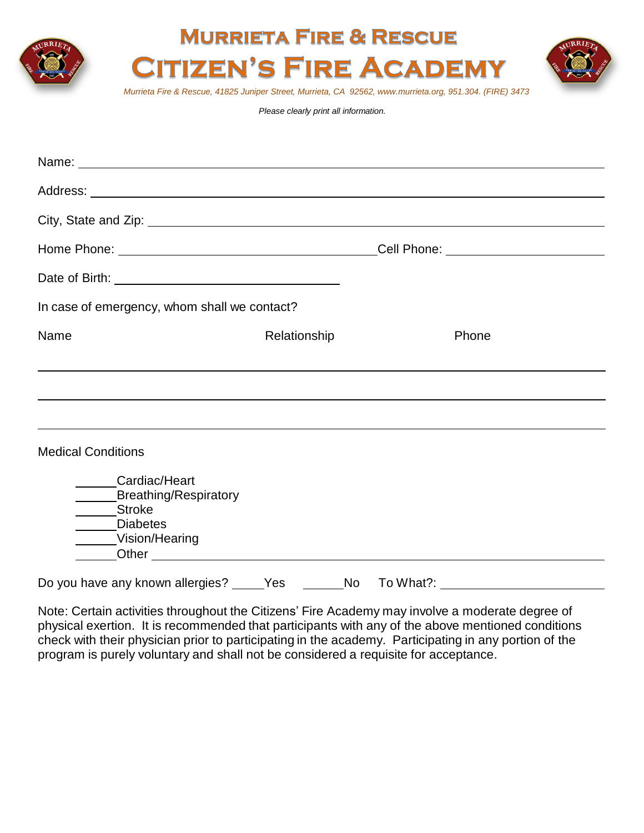

## **MURRIETA FIRE & RESCUE ITIZEN'S FIRE ACADEMY**



*Murrieta Fire & Rescue, 41825 Juniper Street, Murrieta, CA 92562, www.murrieta.org, 951.304. (FIRE) 3473*

*Please clearly print all information.*

| Name: Name:                                                                                                                                                                                                                                                                                                          |              |           |                                         |  |  |  |  |
|----------------------------------------------------------------------------------------------------------------------------------------------------------------------------------------------------------------------------------------------------------------------------------------------------------------------|--------------|-----------|-----------------------------------------|--|--|--|--|
|                                                                                                                                                                                                                                                                                                                      |              |           |                                         |  |  |  |  |
|                                                                                                                                                                                                                                                                                                                      |              |           |                                         |  |  |  |  |
|                                                                                                                                                                                                                                                                                                                      |              |           | _Cell Phone: __________________________ |  |  |  |  |
|                                                                                                                                                                                                                                                                                                                      |              |           |                                         |  |  |  |  |
| In case of emergency, whom shall we contact?                                                                                                                                                                                                                                                                         |              |           |                                         |  |  |  |  |
| Name                                                                                                                                                                                                                                                                                                                 | Relationship |           | Phone                                   |  |  |  |  |
| ,我们也不会有什么。""我们的人,我们也不会有什么?""我们的人,我们也不会有什么?""我们的人,我们也不会有什么?""我们的人,我们也不会有什么?""我们的人                                                                                                                                                                                                                                     |              |           |                                         |  |  |  |  |
|                                                                                                                                                                                                                                                                                                                      |              |           |                                         |  |  |  |  |
| ,我们也不会有什么。""我们的人,我们也不会有什么?""我们的人,我们也不会有什么?""我们的人,我们也不会有什么?""我们的人,我们也不会有什么?""我们的人                                                                                                                                                                                                                                     |              |           |                                         |  |  |  |  |
| <b>Medical Conditions</b>                                                                                                                                                                                                                                                                                            |              |           |                                         |  |  |  |  |
| Cardiac/Heart<br>Breathing/Respiratory<br>Stroke<br>_____Diabetes<br>Vision/Hearing<br>Other contracts are a series of the contract of the contracts of the contracts of the contracts of the contracts of the contracts of the contracts of the contracts of the contracts of the contracts of the contracts of the |              |           |                                         |  |  |  |  |
| Do you have any known allergies?                                                                                                                                                                                                                                                                                     | No l<br>Yes  | To What?: |                                         |  |  |  |  |

Note: Certain activities throughout the Citizens' Fire Academy may involve a moderate degree of physical exertion. It is recommended that participants with any of the above mentioned conditions check with their physician prior to participating in the academy. Participating in any portion of the program is purely voluntary and shall not be considered a requisite for acceptance.